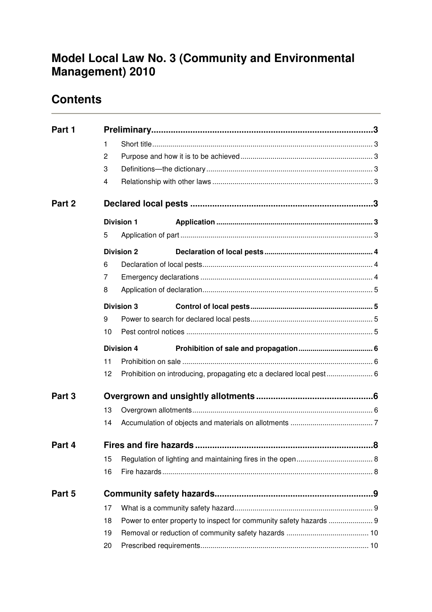# **Model Local Law No. 3 (Community and Environmental Management) 2010**

# **Contents**

| Part 1 |    |                   |                                                                    |  |  |
|--------|----|-------------------|--------------------------------------------------------------------|--|--|
|        | 1  |                   |                                                                    |  |  |
|        | 2  |                   |                                                                    |  |  |
|        | 3  |                   |                                                                    |  |  |
|        | 4  |                   |                                                                    |  |  |
| Part 2 |    |                   |                                                                    |  |  |
|        |    | <b>Division 1</b> |                                                                    |  |  |
|        | 5  |                   |                                                                    |  |  |
|        |    | <b>Division 2</b> |                                                                    |  |  |
|        | 6  |                   |                                                                    |  |  |
|        | 7  |                   |                                                                    |  |  |
|        | 8  |                   |                                                                    |  |  |
|        |    | <b>Division 3</b> |                                                                    |  |  |
|        | 9  |                   |                                                                    |  |  |
|        | 10 |                   |                                                                    |  |  |
|        |    | <b>Division 4</b> |                                                                    |  |  |
|        | 11 |                   |                                                                    |  |  |
|        | 12 |                   |                                                                    |  |  |
| Part 3 |    |                   |                                                                    |  |  |
|        | 13 |                   |                                                                    |  |  |
|        | 14 |                   |                                                                    |  |  |
| Part 4 |    |                   |                                                                    |  |  |
|        | 15 |                   |                                                                    |  |  |
|        | 16 |                   |                                                                    |  |  |
| Part 5 |    |                   |                                                                    |  |  |
|        | 17 |                   |                                                                    |  |  |
|        | 18 |                   | Power to enter property to inspect for community safety hazards  9 |  |  |
|        | 19 |                   |                                                                    |  |  |
|        | 20 |                   |                                                                    |  |  |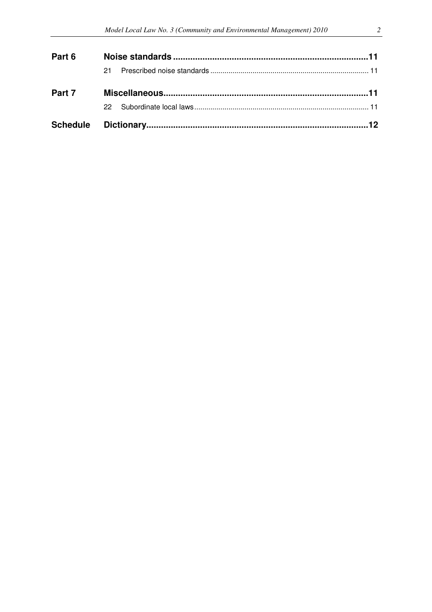| Part 6 |    |  |  |
|--------|----|--|--|
|        | 21 |  |  |
| Part 7 |    |  |  |
|        |    |  |  |
|        |    |  |  |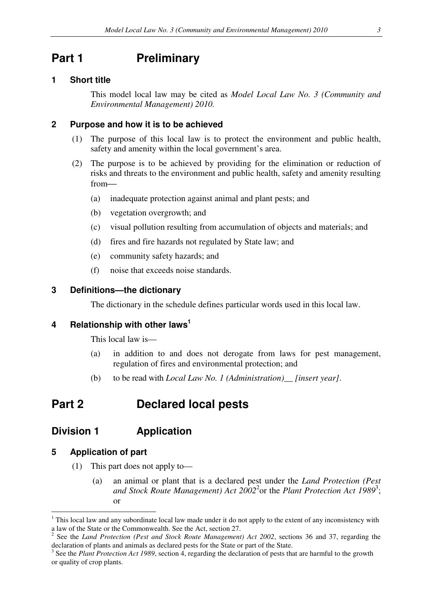# **Part 1** Preliminary

## **1 Short title**

This model local law may be cited as *Model Local Law No. 3 (Community and Environmental Management) 2010.*

### **2 Purpose and how it is to be achieved**

- (1) The purpose of this local law is to protect the environment and public health, safety and amenity within the local government's area.
- (2) The purpose is to be achieved by providing for the elimination or reduction of risks and threats to the environment and public health, safety and amenity resulting from
	- (a) inadequate protection against animal and plant pests; and
	- (b) vegetation overgrowth; and
	- (c) visual pollution resulting from accumulation of objects and materials; and
	- (d) fires and fire hazards not regulated by State law; and
	- (e) community safety hazards; and
	- (f) noise that exceeds noise standards.

### **3 Definitions—the dictionary**

The dictionary in the schedule defines particular words used in this local law.

## **4 Relationship with other laws<sup>1</sup>**

This local law is—

- (a) in addition to and does not derogate from laws for pest management, regulation of fires and environmental protection; and
- (b) to be read with *Local Law No. 1 (Administration)\_\_ [insert year]*.

# **Part 2 Declared local pests**

# **Division 1 Application**

### **5 Application of part**

- (1) This part does not apply to—
	- (a) an animal or plant that is a declared pest under the *Land Protection (Pest*  and Stock Route Management) Act 2002<sup>2</sup> or the Plant Protection Act 1989<sup>3</sup>; or

 $1$  This local law and any subordinate local law made under it do not apply to the extent of any inconsistency with a law of the State or the Commonwealth. See the Act, section 27.

<sup>2</sup> See the *Land Protection (Pest and Stock Route Management) Act 2002*, sections 36 and 37, regarding the declaration of plants and animals as declared pests for the State or part of the State.

<sup>&</sup>lt;sup>3</sup> See the *Plant Protection Act 1989*, section 4, regarding the declaration of pests that are harmful to the growth or quality of crop plants.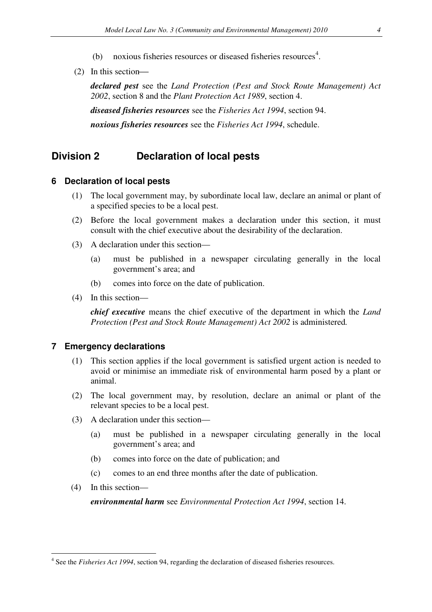- (b) noxious fisheries resources or diseased fisheries resources<sup>4</sup>.
- (2) In this section

*declared pest* see the *Land Protection (Pest and Stock Route Management) Act 2002*, section 8 and the *Plant Protection Act 1989*, section 4.

*diseased fisheries resources* see the *Fisheries Act 1994*, section 94.

*noxious fisheries resources* see the *Fisheries Act 1994*, schedule.

# **Division 2 Declaration of local pests**

#### **6 Declaration of local pests**

- (1) The local government may, by subordinate local law, declare an animal or plant of a specified species to be a local pest.
- (2) Before the local government makes a declaration under this section, it must consult with the chief executive about the desirability of the declaration.
- (3) A declaration under this section—
	- (a) must be published in a newspaper circulating generally in the local government's area; and
	- (b) comes into force on the date of publication.
- (4) In this section—

*chief executive* means the chief executive of the department in which the *Land Protection (Pest and Stock Route Management) Act 2002* is administered*.* 

### **7 Emergency declarations**

- (1) This section applies if the local government is satisfied urgent action is needed to avoid or minimise an immediate risk of environmental harm posed by a plant or animal.
- (2) The local government may, by resolution, declare an animal or plant of the relevant species to be a local pest.
- (3) A declaration under this section—
	- (a) must be published in a newspaper circulating generally in the local government's area; and
	- (b) comes into force on the date of publication; and
	- (c) comes to an end three months after the date of publication.
- (4) In this section—

 $\overline{a}$ 

*environmental harm* see *Environmental Protection Act 1994*, section 14.

<sup>4</sup> See the *Fisheries Act 1994*, section 94, regarding the declaration of diseased fisheries resources.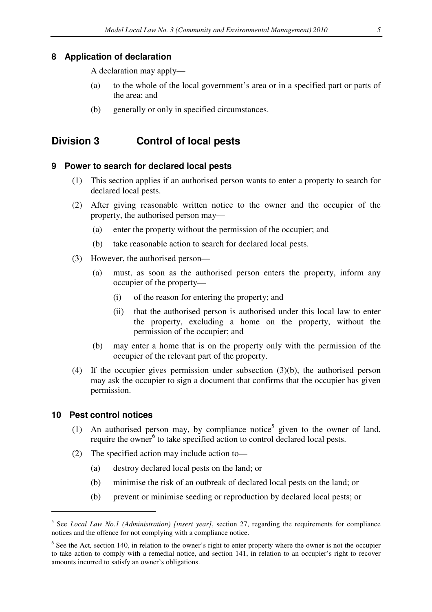### **8 Application of declaration**

A declaration may apply—

- (a) to the whole of the local government's area or in a specified part or parts of the area; and
- (b) generally or only in specified circumstances.

# **Division 3 Control of local pests**

### **9 Power to search for declared local pests**

- (1) This section applies if an authorised person wants to enter a property to search for declared local pests.
- (2) After giving reasonable written notice to the owner and the occupier of the property, the authorised person may—
	- (a) enter the property without the permission of the occupier; and
	- (b) take reasonable action to search for declared local pests.
- (3) However, the authorised person—
	- (a) must, as soon as the authorised person enters the property, inform any occupier of the property—
		- (i) of the reason for entering the property; and
		- (ii) that the authorised person is authorised under this local law to enter the property, excluding a home on the property, without the permission of the occupier; and
	- (b) may enter a home that is on the property only with the permission of the occupier of the relevant part of the property.
- (4) If the occupier gives permission under subsection (3)(b), the authorised person may ask the occupier to sign a document that confirms that the occupier has given permission.

#### **10 Pest control notices**

- (1) An authorised person may, by compliance notice<sup>5</sup> given to the owner of land, require the owner<sup>6</sup> to take specified action to control declared local pests.
- (2) The specified action may include action to—
	- (a) destroy declared local pests on the land; or
	- (b) minimise the risk of an outbreak of declared local pests on the land; or
	- (b) prevent or minimise seeding or reproduction by declared local pests; or

<sup>5</sup> See *Local Law No.1 (Administration) [insert year]*, section 27, regarding the requirements for compliance notices and the offence for not complying with a compliance notice.

<sup>&</sup>lt;sup>6</sup> See the Act, section 140, in relation to the owner's right to enter property where the owner is not the occupier to take action to comply with a remedial notice, and section 141, in relation to an occupier's right to recover amounts incurred to satisfy an owner's obligations.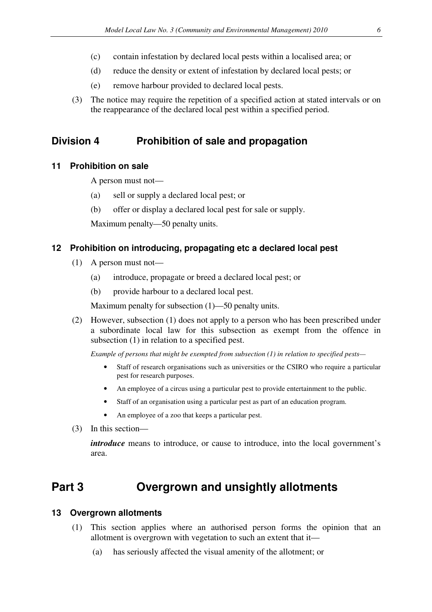- (c) contain infestation by declared local pests within a localised area; or
- (d) reduce the density or extent of infestation by declared local pests; or
- (e) remove harbour provided to declared local pests.
- (3) The notice may require the repetition of a specified action at stated intervals or on the reappearance of the declared local pest within a specified period.

# **Division 4 Prohibition of sale and propagation**

## **11 Prohibition on sale**

A person must not—

- (a) sell or supply a declared local pest; or
- (b) offer or display a declared local pest for sale or supply.

Maximum penalty—50 penalty units.

## **12 Prohibition on introducing, propagating etc a declared local pest**

- (1) A person must not—
	- (a) introduce, propagate or breed a declared local pest; or
	- (b) provide harbour to a declared local pest.

Maximum penalty for subsection (1)—50 penalty units.

(2) However, subsection (1) does not apply to a person who has been prescribed under a subordinate local law for this subsection as exempt from the offence in subsection (1) in relation to a specified pest.

*Example of persons that might be exempted from subsection (1) in relation to specified pests—*

- Staff of research organisations such as universities or the CSIRO who require a particular pest for research purposes.
- An employee of a circus using a particular pest to provide entertainment to the public.
- Staff of an organisation using a particular pest as part of an education program.
- An employee of a zoo that keeps a particular pest.
- (3) In this section—

*introduce* means to introduce, or cause to introduce, into the local government's area.

# **Part 3 Overgrown and unsightly allotments**

## **13 Overgrown allotments**

- (1) This section applies where an authorised person forms the opinion that an allotment is overgrown with vegetation to such an extent that it—
	- (a) has seriously affected the visual amenity of the allotment; or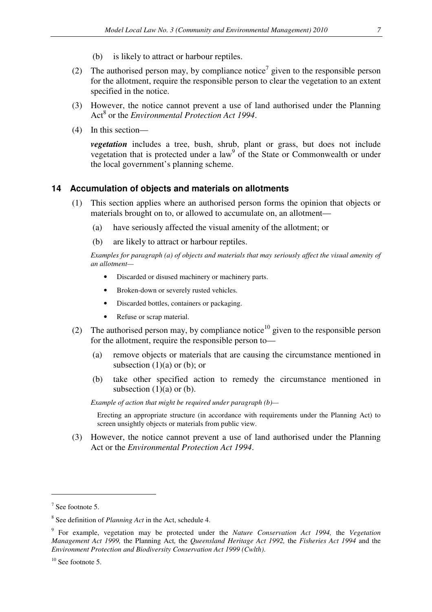- (b) is likely to attract or harbour reptiles.
- (2) The authorised person may, by compliance notice<sup>7</sup> given to the responsible person for the allotment, require the responsible person to clear the vegetation to an extent specified in the notice.
- (3) However, the notice cannot prevent a use of land authorised under the Planning Act<sup>8</sup> or the *Environmental Protection Act 1994*.
- (4) In this section—

*vegetation* includes a tree, bush, shrub, plant or grass, but does not include vegetation that is protected under a law<sup>9</sup> of the State or Commonwealth or under the local government's planning scheme.

### **14 Accumulation of objects and materials on allotments**

- (1) This section applies where an authorised person forms the opinion that objects or materials brought on to, or allowed to accumulate on, an allotment—
	- (a) have seriously affected the visual amenity of the allotment; or
	- (b) are likely to attract or harbour reptiles.

 *Examples for paragraph (a) of objects and materials that may seriously affect the visual amenity of an allotment—* 

- Discarded or disused machinery or machinery parts.
- Broken-down or severely rusted vehicles.
- Discarded bottles, containers or packaging.
- Refuse or scrap material.
- (2) The authorised person may, by compliance notice<sup>10</sup> given to the responsible person for the allotment, require the responsible person to—
	- (a) remove objects or materials that are causing the circumstance mentioned in subsection  $(1)(a)$  or  $(b)$ ; or
	- (b) take other specified action to remedy the circumstance mentioned in subsection  $(1)(a)$  or  $(b)$ .

*Example of action that might be required under paragraph (b)—* 

Erecting an appropriate structure (in accordance with requirements under the Planning Act) to screen unsightly objects or materials from public view.

(3) However, the notice cannot prevent a use of land authorised under the Planning Act or the *Environmental Protection Act 1994*.

 $7$  See footnote 5.

<sup>8</sup> See definition of *Planning Act* in the Act, schedule 4.

<sup>9</sup> For example, vegetation may be protected under the *Nature Conservation Act 1994,* the *Vegetation Management Act 1999,* the Planning Act*,* the *Queensland Heritage Act 1992,* the *Fisheries Act 1994* and the *Environment Protection and Biodiversity Conservation Act 1999 (Cwlth)*.

<sup>&</sup>lt;sup>10</sup> See footnote 5.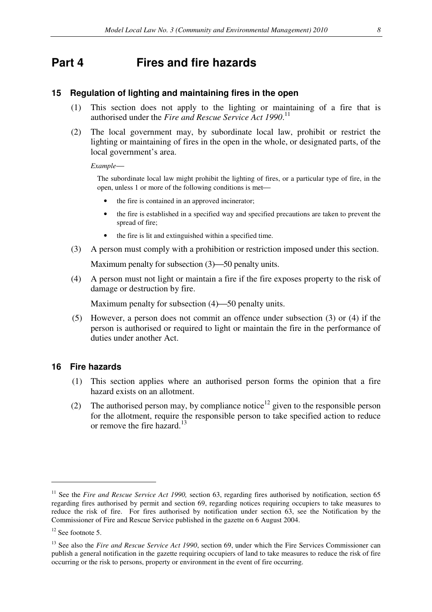# **Part 4 Fires and fire hazards**

### **15 Regulation of lighting and maintaining fires in the open**

- (1) This section does not apply to the lighting or maintaining of a fire that is authorised under the *Fire and Rescue Service Act 1990*. 11
- (2) The local government may, by subordinate local law, prohibit or restrict the lighting or maintaining of fires in the open in the whole, or designated parts, of the local government's area.

*Example*

The subordinate local law might prohibit the lighting of fires, or a particular type of fire, in the open, unless 1 or more of the following conditions is met

- the fire is contained in an approved incinerator;
- the fire is established in a specified way and specified precautions are taken to prevent the spread of fire;
- the fire is lit and extinguished within a specified time.
- (3) A person must comply with a prohibition or restriction imposed under this section.

Maximum penalty for subsection  $(3)$ —50 penalty units.

(4) A person must not light or maintain a fire if the fire exposes property to the risk of damage or destruction by fire.

Maximum penalty for subsection  $(4)$ —50 penalty units.

(5) However, a person does not commit an offence under subsection (3) or (4) if the person is authorised or required to light or maintain the fire in the performance of duties under another Act.

### **16 Fire hazards**

- (1) This section applies where an authorised person forms the opinion that a fire hazard exists on an allotment.
- (2) The authorised person may, by compliance notice<sup>12</sup> given to the responsible person for the allotment, require the responsible person to take specified action to reduce or remove the fire hazard.<sup>13</sup>

<sup>&</sup>lt;sup>11</sup> See the *Fire and Rescue Service Act 1990*, section 63, regarding fires authorised by notification, section 65 regarding fires authorised by permit and section 69, regarding notices requiring occupiers to take measures to reduce the risk of fire. For fires authorised by notification under section 63, see the Notification by the Commissioner of Fire and Rescue Service published in the gazette on 6 August 2004.

 $12$  See footnote 5.

<sup>&</sup>lt;sup>13</sup> See also the *Fire and Rescue Service Act 1990*, section 69, under which the Fire Services Commissioner can publish a general notification in the gazette requiring occupiers of land to take measures to reduce the risk of fire occurring or the risk to persons, property or environment in the event of fire occurring.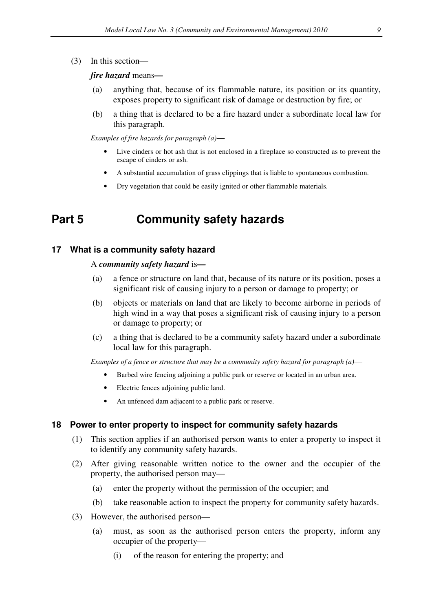(3) In this section—

#### *fire hazard* means*—*

- (a) anything that, because of its flammable nature, its position or its quantity, exposes property to significant risk of damage or destruction by fire; or
- (b) a thing that is declared to be a fire hazard under a subordinate local law for this paragraph.

*Examples of fire hazards for paragraph (a)*

- Live cinders or hot ash that is not enclosed in a fireplace so constructed as to prevent the escape of cinders or ash.
- A substantial accumulation of grass clippings that is liable to spontaneous combustion.
- Dry vegetation that could be easily ignited or other flammable materials.

# **Part 5 Community safety hazards**

#### **17 What is a community safety hazard**

#### A *community safety hazard* is*—*

- (a) a fence or structure on land that, because of its nature or its position, poses a significant risk of causing injury to a person or damage to property; or
- (b) objects or materials on land that are likely to become airborne in periods of high wind in a way that poses a significant risk of causing injury to a person or damage to property; or
- (c) a thing that is declared to be a community safety hazard under a subordinate local law for this paragraph.

*Examples of a fence or structure that may be a community safety hazard for paragraph (a)*

- Barbed wire fencing adjoining a public park or reserve or located in an urban area.
- Electric fences adjoining public land.
- An unfenced dam adjacent to a public park or reserve.

### **18 Power to enter property to inspect for community safety hazards**

- (1) This section applies if an authorised person wants to enter a property to inspect it to identify any community safety hazards.
- (2) After giving reasonable written notice to the owner and the occupier of the property, the authorised person may—
	- (a) enter the property without the permission of the occupier; and
	- (b) take reasonable action to inspect the property for community safety hazards.
- (3) However, the authorised person—
	- (a) must, as soon as the authorised person enters the property, inform any occupier of the property—
		- (i) of the reason for entering the property; and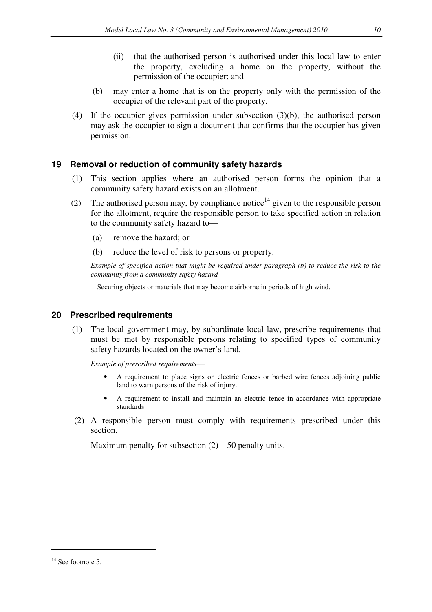- (ii) that the authorised person is authorised under this local law to enter the property, excluding a home on the property, without the permission of the occupier; and
- (b) may enter a home that is on the property only with the permission of the occupier of the relevant part of the property.
- (4) If the occupier gives permission under subsection (3)(b), the authorised person may ask the occupier to sign a document that confirms that the occupier has given permission.

## **19 Removal or reduction of community safety hazards**

- (1) This section applies where an authorised person forms the opinion that a community safety hazard exists on an allotment.
- (2) The authorised person may, by compliance notice<sup>14</sup> given to the responsible person for the allotment, require the responsible person to take specified action in relation to the community safety hazard to*—*
	- (a) remove the hazard; or
	- (b) reduce the level of risk to persons or property.

*Example of specified action that might be required under paragraph (b) to reduce the risk to the community from a community safety hazard*

Securing objects or materials that may become airborne in periods of high wind.

## **20 Prescribed requirements**

(1) The local government may, by subordinate local law, prescribe requirements that must be met by responsible persons relating to specified types of community safety hazards located on the owner's land.

*Example of prescribed requirements*

- A requirement to place signs on electric fences or barbed wire fences adjoining public land to warn persons of the risk of injury.
- A requirement to install and maintain an electric fence in accordance with appropriate standards.
- (2) A responsible person must comply with requirements prescribed under this section.

Maximum penalty for subsection  $(2)$ —50 penalty units.

<sup>&</sup>lt;sup>14</sup> See footnote 5.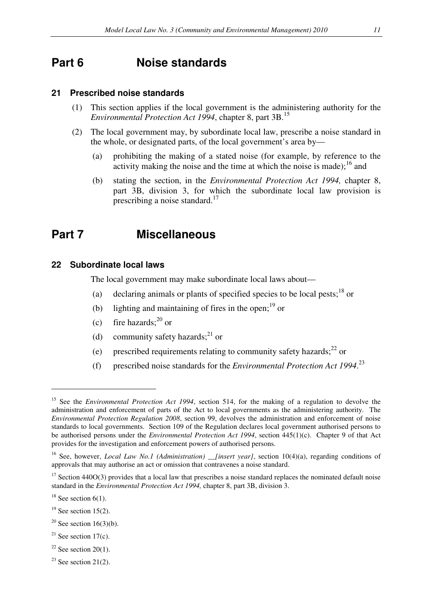# **Part 6 Noise standards**

### **21 Prescribed noise standards**

- (1) This section applies if the local government is the administering authority for the *Environmental Protection Act 1994*, chapter 8, part 3B.<sup>15</sup>
- (2) The local government may, by subordinate local law, prescribe a noise standard in the whole, or designated parts, of the local government's area by—
	- (a) prohibiting the making of a stated noise (for example, by reference to the activity making the noise and the time at which the noise is made);<sup>16</sup> and
	- (b) stating the section, in the *Environmental Protection Act 1994,* chapter 8, part 3B, division 3, for which the subordinate local law provision is prescribing a noise standard.<sup>17</sup>

# **Part 7 Miscellaneous**

#### **22 Subordinate local laws**

The local government may make subordinate local laws about—

- (a) declaring animals or plants of specified species to be local pests;  $18$  or
- (b) lighting and maintaining of fires in the open; $^{19}$  or
- (c) fire hazards; $^{20}$  or
- (d) community safety hazards;<sup>21</sup> or
- (e) prescribed requirements relating to community safety hazards; $^{22}$  or
- (f) prescribed noise standards for the *Environmental Protection Act 1994*. 23

- $19$  See section 15(2).
- <sup>20</sup> See section 16(3)(b).
- $21$  See section 17(c).
- $22$  See section 20(1).
- <sup>23</sup> See section 21(2).

<sup>15</sup> See the *Environmental Protection Act 1994*, section 514, for the making of a regulation to devolve the administration and enforcement of parts of the Act to local governments as the administering authority. The *Environmental Protection Regulation 2008*, section 99, devolves the administration and enforcement of noise standards to local governments. Section 109 of the Regulation declares local government authorised persons to be authorised persons under the *Environmental Protection Act 1994*, section 445(1)(c). Chapter 9 of that Act provides for the investigation and enforcement powers of authorised persons.

<sup>&</sup>lt;sup>16</sup> See, however, *Local Law No.1 (Administration)* \_\_*[insert year]*, section 10(4)(a), regarding conditions of approvals that may authorise an act or omission that contravenes a noise standard.

<sup>&</sup>lt;sup>17</sup> Section 440O(3) provides that a local law that prescribes a noise standard replaces the nominated default noise standard in the *Environmental Protection Act 1994,* chapter 8, part 3B, division 3.

 $18$  See section 6(1).